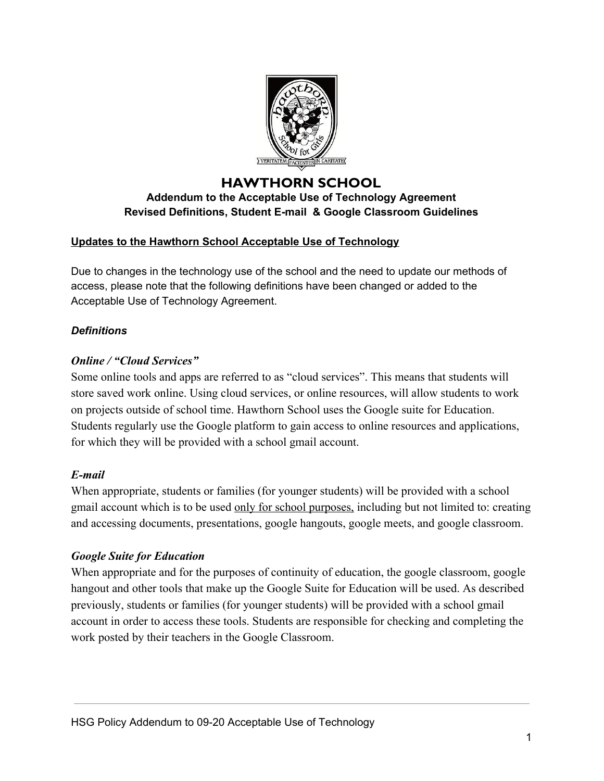

## **HAWTHORN SCHOOL Addendum to the Acceptable Use of Technology Agreement Revised Definitions, Student E-mail & Google Classroom Guidelines**

## **Updates to the Hawthorn School Acceptable Use of Technology**

Due to changes in the technology use of the school and the need to update our methods of access, please note that the following definitions have been changed or added to the Acceptable Use of Technology Agreement.

## *Definitions*

# *Online / "Cloud Services"*

Some online tools and apps are referred to as "cloud services". This means that students will store saved work online. Using cloud services, or online resources, will allow students to work on projects outside of school time. Hawthorn School uses the Google suite for Education. Students regularly use the Google platform to gain access to online resources and applications, for which they will be provided with a school gmail account.

## *E-mail*

When appropriate, students or families (for younger students) will be provided with a school gmail account which is to be used only for school purposes, including but not limited to: creating and accessing documents, presentations, google hangouts, google meets, and google classroom.

## *Google Suite for Education*

When appropriate and for the purposes of continuity of education, the google classroom, google hangout and other tools that make up the Google Suite for Education will be used. As described previously, students or families (for younger students) will be provided with a school gmail account in order to access these tools. Students are responsible for checking and completing the work posted by their teachers in the Google Classroom.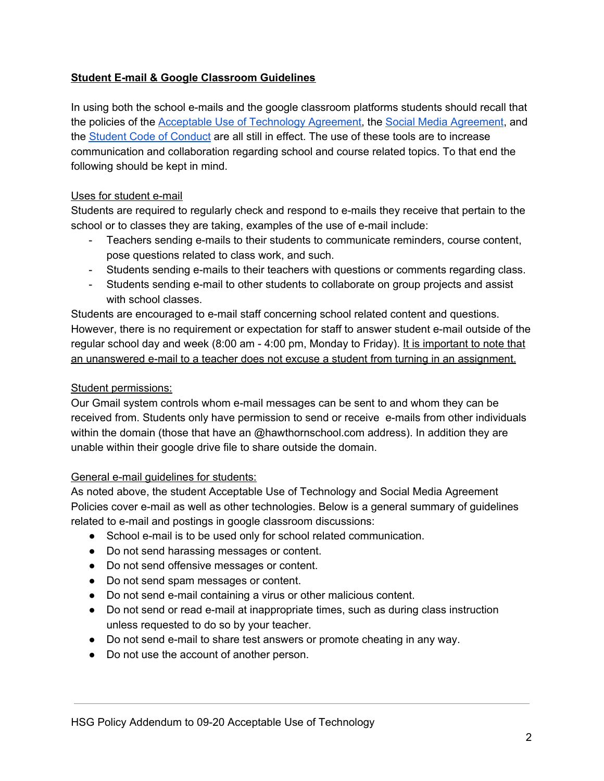### **Student E-mail & Google Classroom Guidelines**

In using both the school e-mails and the google classroom platforms students should recall that the policies of the **Acceptable Use of [Technology](https://hawthornschool.com/wp-content/uploads/2020/04/09-20-Acceptable-Use-of-Technology.pdf) Agreement**, the Social Media [Agreement,](https://hawthornschool.com/wp-content/uploads/2020/04/10-20-Social-Media-Access-Agreement.pdf) and the Student Code of [Conduct](https://hawthornschool.com/wp-content/uploads/2020/04/05-19-Hawthorn-School-Code-of-Conduct-Parents-Teachers-Students.pdf) are all still in effect. The use of these tools are to increase communication and collaboration regarding school and course related topics. To that end the following should be kept in mind.

### Uses for student e-mail

Students are required to regularly check and respond to e-mails they receive that pertain to the school or to classes they are taking, examples of the use of e-mail include:

- Teachers sending e-mails to their students to communicate reminders, course content, pose questions related to class work, and such.
- Students sending e-mails to their teachers with questions or comments regarding class.
- Students sending e-mail to other students to collaborate on group projects and assist with school classes.

Students are encouraged to e-mail staff concerning school related content and questions. However, there is no requirement or expectation for staff to answer student e-mail outside of the regular school day and week (8:00 am - 4:00 pm, Monday to Friday). It is important to note that an unanswered e-mail to a teacher does not excuse a student from turning in an assignment.

### Student permissions:

Our Gmail system controls whom e-mail messages can be sent to and whom they can be received from. Students only have permission to send or receive e-mails from other individuals within the domain (those that have an @hawthornschool.com address). In addition they are unable within their google drive file to share outside the domain.

### General e-mail guidelines for students:

As noted above, the student Acceptable Use of Technology and Social Media Agreement Policies cover e-mail as well as other technologies. Below is a general summary of guidelines related to e-mail and postings in google classroom discussions:

- School e-mail is to be used only for school related communication.
- Do not send harassing messages or content.
- Do not send offensive messages or content.
- Do not send spam messages or content.
- Do not send e-mail containing a virus or other malicious content.
- Do not send or read e-mail at inappropriate times, such as during class instruction unless requested to do so by your teacher.
- Do not send e-mail to share test answers or promote cheating in any way.
- Do not use the account of another person.